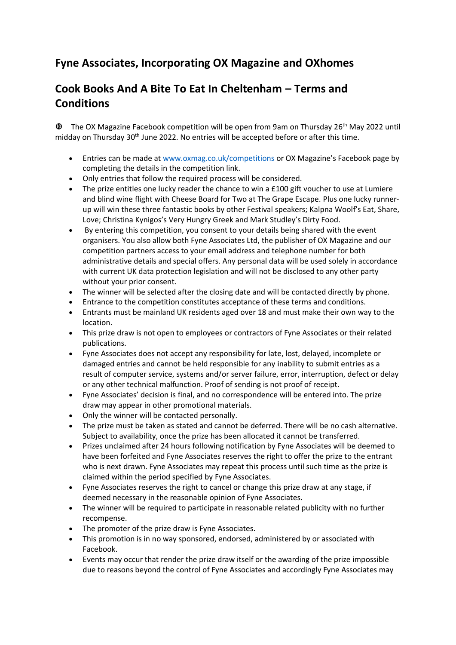## **Fyne Associates, Incorporating OX Magazine and OXhomes**

## **Cook Books And A Bite To Eat In Cheltenham – Terms and Conditions**

 $\Phi$  The OX Magazine Facebook competition will be open from 9am on Thursday 26<sup>th</sup> May 2022 until midday on Thursday 30<sup>th</sup> June 2022. No entries will be accepted before or after this time.

- Entries can be made at www.oxmag.co.uk/competitions or OX Magazine's Facebook page by completing the details in the competition link.
- Only entries that follow the required process will be considered.
- The prize entitles one lucky reader the chance to win a £100 gift voucher to use at Lumiere and blind wine flight with Cheese Board for Two at The Grape Escape. Plus one lucky runnerup will win these three fantastic books by other Festival speakers; [Kalpna](https://www.waterstones.com/book/eat-share-love/kalpna-woolf/9781910863893) [Woolf's Eat, Share,](https://www.waterstones.com/book/eat-share-love/kalpna-woolf/9781910863893)  [Love;](https://www.waterstones.com/book/eat-share-love/kalpna-woolf/9781910863893) [Christina](https://www.whsmith.co.uk/products/very-hungry-greek-who-says-healthy-food-has-to-be-boring-100-slimming-recipes-from-around-the-world-/christina-kynigos/hardback/9781910863916.html) [Kynigos's](https://www.whsmith.co.uk/products/very-hungry-greek-who-says-healthy-food-has-to-be-boring-100-slimming-recipes-from-around-the-world-/christina-kynigos/hardback/9781910863916.html) [Very Hungry Greek](https://www.whsmith.co.uk/products/very-hungry-greek-who-says-healthy-food-has-to-be-boring-100-slimming-recipes-from-around-the-world-/christina-kynigos/hardback/9781910863916.html) and [Mark Studley's Dirty Food](https://www.waterstones.com/book/dirty/mark-studley/9781910863909).
- By entering this competition, you consent to your details being shared with the event organisers. You also allow both Fyne Associates Ltd, the publisher of OX Magazine and our competition partners access to your email address and telephone number for both administrative details and special offers. Any personal data will be used solely in accordance with current UK data protection legislation and will not be disclosed to any other party without your prior consent.
- The winner will be selected after the closing date and will be contacted directly by phone.
- Entrance to the competition constitutes acceptance of these terms and conditions.
- Entrants must be mainland UK residents aged over 18 and must make their own way to the location.
- This prize draw is not open to employees or contractors of Fyne Associates or their related publications.
- Fyne Associates does not accept any responsibility for late, lost, delayed, incomplete or damaged entries and cannot be held responsible for any inability to submit entries as a result of computer service, systems and/or server failure, error, interruption, defect or delay or any other technical malfunction. Proof of sending is not proof of receipt.
- Fyne Associates' decision is final, and no correspondence will be entered into. The prize draw may appear in other promotional materials.
- Only the winner will be contacted personally.
- The prize must be taken as stated and cannot be deferred. There will be no cash alternative. Subject to availability, once the prize has been allocated it cannot be transferred.
- Prizes unclaimed after 24 hours following notification by Fyne Associates will be deemed to have been forfeited and Fyne Associates reserves the right to offer the prize to the entrant who is next drawn. Fyne Associates may repeat this process until such time as the prize is claimed within the period specified by Fyne Associates.
- Fyne Associates reserves the right to cancel or change this prize draw at any stage, if deemed necessary in the reasonable opinion of Fyne Associates.
- The winner will be required to participate in reasonable related publicity with no further recompense.
- The promoter of the prize draw is Fyne Associates.
- This promotion is in no way sponsored, endorsed, administered by or associated with Facebook.
- Events may occur that render the prize draw itself or the awarding of the prize impossible due to reasons beyond the control of Fyne Associates and accordingly Fyne Associates may